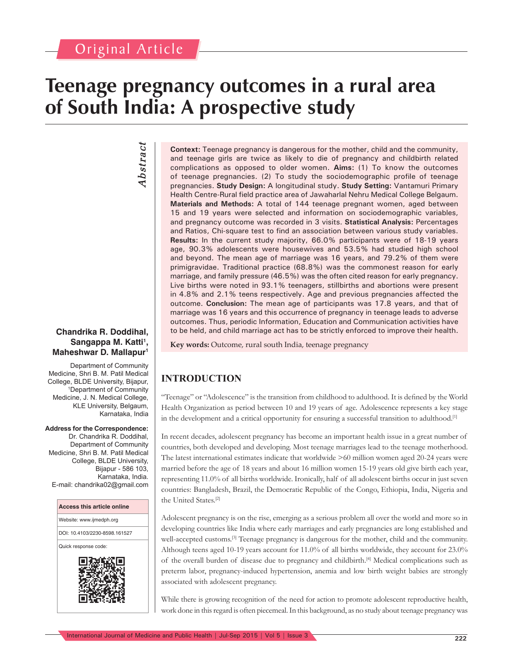# Original Article

# **Teenage pregnancy outcomes in a rural area of South India: A prospective study**

# *Abstract* Abstract

#### **Chandrika R. Doddihal, Sangappa M. Katti1 , Maheshwar D. Mallapur1**

Department of Community Medicine, Shri B. M. Patil Medical College, BLDE University, Bijapur, 1 Department of Community Medicine, J. N. Medical College, KLE University, Belgaum, Karnataka, India

#### **Address for the Correspondence:**

Dr. Chandrika R. Doddihal, Department of Community Medicine, Shri B. M. Patil Medical College, BLDE University, Bijapur - 586 103, Karnataka, India. E-mail: chandrika02@gmail.com



**Context:** Teenage pregnancy is dangerous for the mother, child and the community, and teenage girls are twice as likely to die of pregnancy and childbirth related complications as opposed to older women. **Aims:** (1) To know the outcomes of teenage pregnancies. (2) To study the sociodemographic profile of teenage pregnancies. **Study Design:** A longitudinal study. **Study Setting:** Vantamuri Primary Health Centre-Rural field practice area of Jawaharlal Nehru Medical College Belgaum. **Materials and Methods:** A total of 144 teenage pregnant women, aged between 15 and 19 years were selected and information on sociodemographic variables, and pregnancy outcome was recorded in 3 visits. **Statistical Analysis:** Percentages and Ratios, Chi-square test to find an association between various study variables. **Results:** In the current study majority, 66.0% participants were of 18-19 years age, 90.3% adolescents were housewives and 53.5% had studied high school and beyond. The mean age of marriage was 16 years, and 79.2% of them were primigravidae. Traditional practice (68.8%) was the commonest reason for early marriage, and family pressure (46.5%) was the often cited reason for early pregnancy. Live births were noted in 93.1% teenagers, stillbirths and abortions were present in 4.8% and 2.1% teens respectively. Age and previous pregnancies affected the outcome. **Conclusion:** The mean age of participants was 17.8 years, and that of marriage was 16 years and this occurrence of pregnancy in teenage leads to adverse outcomes. Thus, periodic Information, Education and Communication activities have to be held, and child marriage act has to be strictly enforced to improve their health.

**Key words:** Outcome, rural south India, teenage pregnancy

# **INTRODUCTION**

"Teenage" or "Adolescence" is the transition from childhood to adulthood. It is defined by the World Health Organization as period between 10 and 19 years of age. Adolescence represents a key stage in the development and a critical opportunity for ensuring a successful transition to adulthood.<sup>[1]</sup>

In recent decades, adolescent pregnancy has become an important health issue in a great number of countries, both developed and developing. Most teenage marriages lead to the teenage motherhood. The latest international estimates indicate that worldwide >60 million women aged 20-24 years were married before the age of 18 years and about 16 million women 15-19 years old give birth each year, representing 11.0% of all births worldwide. Ironically, half of all adolescent births occur in just seven countries: Bangladesh, Brazil, the Democratic Republic of the Congo, Ethiopia, India, Nigeria and the United States.[2]

Adolescent pregnancy is on the rise, emerging as a serious problem all over the world and more so in developing countries like India where early marriages and early pregnancies are long established and well-accepted customs.[3] Teenage pregnancy is dangerous for the mother, child and the community. Although teens aged 10-19 years account for 11.0% of all births worldwide, they account for 23.0% of the overall burden of disease due to pregnancy and childbirth.[4] Medical complications such as preterm labor, pregnancy-induced hypertension, anemia and low birth weight babies are strongly associated with adolescent pregnancy.

While there is growing recognition of the need for action to promote adolescent reproductive health, work done in this regard is often piecemeal. In this background, as no study about teenage pregnancy was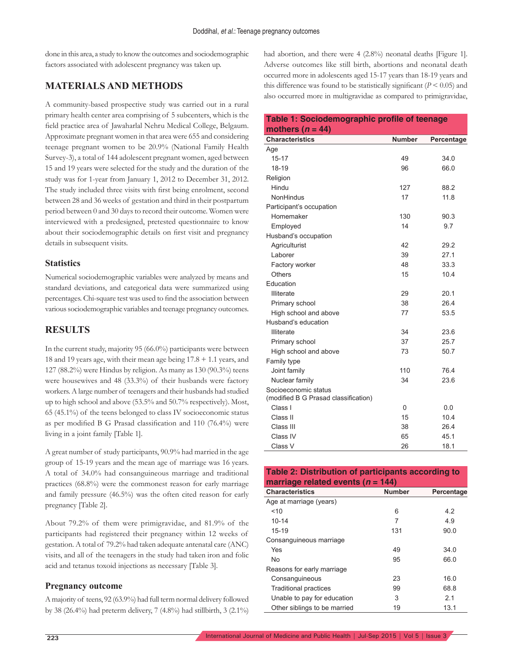done in this area, a study to know the outcomes and sociodemographic factors associated with adolescent pregnancy was taken up.

### **MATERIALS AND METHODS**

A community-based prospective study was carried out in a rural primary health center area comprising of 5 subcenters, which is the field practice area of Jawaharlal Nehru Medical College, Belgaum. Approximate pregnant women in that area were 655 and considering teenage pregnant women to be 20.9% (National Family Health Survey-3), a total of 144 adolescent pregnant women, aged between 15 and 19 years were selected for the study and the duration of the study was for 1-year from January 1, 2012 to December 31, 2012. The study included three visits with first being enrolment, second between 28 and 36 weeks of gestation and third in their postpartum period between 0 and 30 days to record their outcome. Women were interviewed with a predesigned, pretested questionnaire to know about their sociodemographic details on first visit and pregnancy details in subsequent visits.

#### **Statistics**

Numerical sociodemographic variables were analyzed by means and standard deviations, and categorical data were summarized using percentages. Chi-square test was used to find the association between various sociodemographic variables and teenage pregnancy outcomes.

### **RESULTS**

In the current study, majority 95 (66.0%) participants were between 18 and 19 years age, with their mean age being 17.8 + 1.1 years, and 127 (88.2%) were Hindus by religion. As many as 130 (90.3%) teens were housewives and 48 (33.3%) of their husbands were factory workers. A large number of teenagers and their husbands had studied up to high school and above (53.5% and 50.7% respectively). Most, 65 (45.1%) of the teens belonged to class IV socioeconomic status as per modified B G Prasad classification and 110 (76.4%) were living in a joint family [Table 1].

A great number of study participants, 90.9% had married in the age group of 15-19 years and the mean age of marriage was 16 years. A total of 34.0% had consanguineous marriage and traditional practices (68.8%) were the commonest reason for early marriage and family pressure (46.5%) was the often cited reason for early pregnancy [Table 2].

About 79.2% of them were primigravidae, and 81.9% of the participants had registered their pregnancy within 12 weeks of gestation. A total of 79.2% had taken adequate antenatal care (ANC) visits, and all of the teenagers in the study had taken iron and folic acid and tetanus toxoid injections as necessary [Table 3].

#### **Pregnancy outcome**

A majority of teens, 92 (63.9%) had full term normal delivery followed by 38 (26.4%) had preterm delivery, 7 (4.8%) had stillbirth, 3 (2.1%) had abortion, and there were 4 (2.8%) neonatal deaths [Figure 1]. Adverse outcomes like still birth, abortions and neonatal death occurred more in adolescents aged 15-17 years than 18-19 years and this difference was found to be statistically significant  $(P < 0.05)$  and also occurred more in multigravidae as compared to primigravidae,

#### **Table 1: Sociodemographic profile of teenage mothers (***n* **= 44) Characteristics Number Percentage** Age 15-17 49 34.0 18-19 06.0 Religion Hindu 127 88.2 NonHindus 17 11.8 Participant's occupation Homemaker 130 90.3 Employed 14 9.7 Husband's occupation Agriculturist 42 29.2 Laborer 27.1 Factory worker 1990 48 33.3 Others 15 10.4 Education Illiterate 29 20.1 Primary school 38 26.4 High school and above 77 53.5 Husband's education Illiterate 23.6 Primary school 37 25.7 High school and above 73 50.7 Family type Joint family 110 76.4 Nuclear family 34 23.6 Socioeconomic status (modified B G Prasad classification) Class I 0 0.0 Class II 10.4 Class III 38 26.4 Class IV 65 45.1 Class V 26 26 18.1

## **Table 2: Distribution of participants according to marriage related events (***n* **= 144)**

| <b>Characteristics</b>       | <b>Number</b> | Percentage |
|------------------------------|---------------|------------|
| Age at marriage (years)      |               |            |
| 10                           | 6             | 4.2        |
| $10 - 14$                    | 7             | 4.9        |
| $15 - 19$                    | 131           | 90.0       |
| Consanguineous marriage      |               |            |
| Yes                          | 49            | 34.0       |
| N <sub>o</sub>               | 95            | 66.0       |
| Reasons for early marriage   |               |            |
| Consanguineous               | 23            | 16.0       |
| Traditional practices        | 99            | 68.8       |
| Unable to pay for education  | 3             | 2.1        |
| Other siblings to be married | 19            | 13.1       |